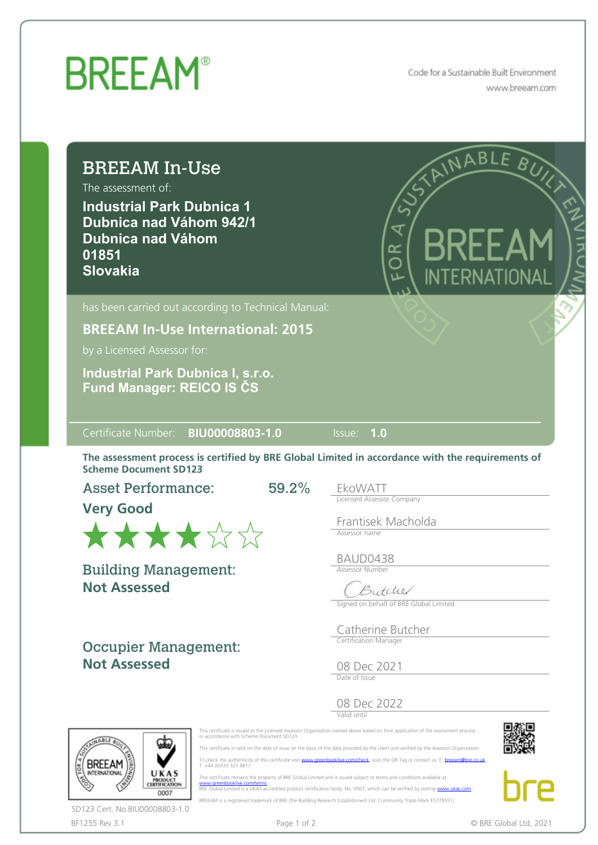## **BREEAM®**

Code for a Sustainable Built Environment www.breeam.com

| The assessment of:<br><b>Industrial Park Dubnica 1</b><br><b>Dubnica nad Váhom 942/1</b><br><b>Dubnica nad Váhom</b><br>01851<br><b>Slovakia</b>                       | ANNABLE BUY<br>₹<br>$\leq$<br>NTERNATIONAL                   |
|------------------------------------------------------------------------------------------------------------------------------------------------------------------------|--------------------------------------------------------------|
| has been carried out according to Technical Manual:                                                                                                                    |                                                              |
| <b>BREEAM In-Use International: 2015</b>                                                                                                                               |                                                              |
| by a Licensed Assessor for:                                                                                                                                            |                                                              |
|                                                                                                                                                                        |                                                              |
| Certificate Number: BIU00008803-1.0                                                                                                                                    | Issue: 1.0                                                   |
| The assessment process is certified by BRE Global Limited in accordance with the requirements of<br><b>Scheme Document SD123</b><br><b>Asset Performance:</b><br>59.2% | EkoWATT                                                      |
|                                                                                                                                                                        | <b>Licensed Assessor Company</b>                             |
| <b>Very Good</b><br>******                                                                                                                                             | Frantisek Macholda<br>Assessor name                          |
|                                                                                                                                                                        | BAUD0438<br><b>Assessor Number</b>                           |
| <b>Building Management:</b><br><b>Not Assessed</b>                                                                                                                     | $\sqrt{2}$<br>Hele<br>Signed on behalf of BRE Global Limited |
|                                                                                                                                                                        | Catherine Butcher                                            |
| <b>Occupier Management:</b>                                                                                                                                            | Certification Manager                                        |
| <b>Not Assessed</b>                                                                                                                                                    | 08 Dec 2021<br>Date of Issue                                 |



BF1255 Rev 3.1 **Page 1 of 2** Page 1 of 2 **COMPAGE CONVERTS CONVERTS PAGE CONVERTS PAGE CONVERTS PAGE CONVERTS PAGE CONVERTS PAGE CONVERTS PAGE CONVERTS PAGE CONVERTS PAGE CONVERTS PAGE CONVERTS PAGE CONVERTS PAGE CONVERTS** SD123 Cert. No.BIU00008803-1.0

This certificate remains the property of BRE Global Limited and is issued subject to terms and conditions available at:<br>[www.greenbooklive.com/terms](http://www.greenbooklive.com/terms)...<br>BRE Global Limited is a UKAS accredited product certification body, No. BREEAM is a registered trademark of BRE (the Building Research Establishment Ltd. Community Trade Mark E5778551).